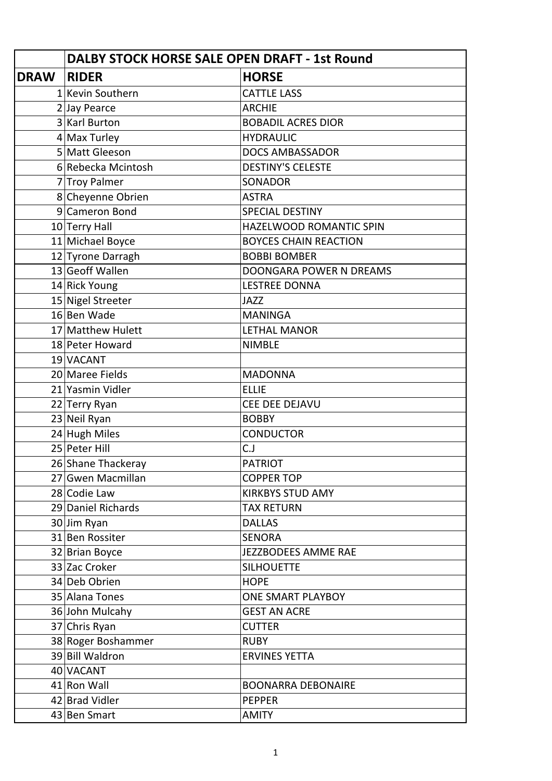|             | DALBY STOCK HORSE SALE OPEN DRAFT - 1st Round |                              |
|-------------|-----------------------------------------------|------------------------------|
| <b>DRAW</b> | <b>RIDER</b>                                  | <b>HORSE</b>                 |
|             | 1 Kevin Southern                              | <b>CATTLE LASS</b>           |
|             | 2 Jay Pearce                                  | <b>ARCHIE</b>                |
|             | 3 Karl Burton                                 | <b>BOBADIL ACRES DIOR</b>    |
|             | $4$ Max Turley                                | <b>HYDRAULIC</b>             |
|             | 5 Matt Gleeson                                | <b>DOCS AMBASSADOR</b>       |
|             | 6 Rebecka Mcintosh                            | <b>DESTINY'S CELESTE</b>     |
|             | 7 Troy Palmer                                 | <b>SONADOR</b>               |
|             | 8 Cheyenne Obrien                             | <b>ASTRA</b>                 |
|             | 9 Cameron Bond                                | <b>SPECIAL DESTINY</b>       |
|             | $10$ Terry Hall                               | HAZELWOOD ROMANTIC SPIN      |
|             | 11 Michael Boyce                              | <b>BOYCES CHAIN REACTION</b> |
|             | 12 Tyrone Darragh                             | <b>BOBBI BOMBER</b>          |
|             | 13 Geoff Wallen                               | DOONGARA POWER N DREAMS      |
|             | 14 Rick Young                                 | <b>LESTREE DONNA</b>         |
|             | 15 Nigel Streeter                             | <b>JAZZ</b>                  |
|             | 16 Ben Wade                                   | <b>MANINGA</b>               |
|             | 17 Matthew Hulett                             | <b>LETHAL MANOR</b>          |
|             | 18 Peter Howard                               | <b>NIMBLE</b>                |
|             | 19 VACANT                                     |                              |
|             | 20 Maree Fields                               | <b>MADONNA</b>               |
|             | 21 Yasmin Vidler                              | <b>ELLIE</b>                 |
|             | 22 Terry Ryan                                 | CEE DEE DEJAVU               |
|             | 23 Neil Ryan                                  | <b>BOBBY</b>                 |
|             | 24 Hugh Miles                                 | <b>CONDUCTOR</b>             |
|             | 25 Peter Hill                                 | C.J                          |
|             | 26 Shane Thackeray                            | <b>PATRIOT</b>               |
|             | 27 Gwen Macmillan                             | <b>COPPER TOP</b>            |
|             | 28 Codie Law                                  | <b>KIRKBYS STUD AMY</b>      |
|             | 29 Daniel Richards                            | <b>TAX RETURN</b>            |
|             | 30 Jim Ryan                                   | <b>DALLAS</b>                |
|             | 31 Ben Rossiter                               | <b>SENORA</b>                |
|             | 32 Brian Boyce                                | JEZZBODEES AMME RAE          |
|             | 33 Zac Croker                                 | <b>SILHOUETTE</b>            |
|             | 34 Deb Obrien                                 | <b>HOPE</b>                  |
|             | 35 Alana Tones                                | ONE SMART PLAYBOY            |
|             | 36 John Mulcahy                               | <b>GEST AN ACRE</b>          |
|             | 37 Chris Ryan                                 | <b>CUTTER</b>                |
|             | 38 Roger Boshammer                            | <b>RUBY</b>                  |
|             | 39 Bill Waldron                               | <b>ERVINES YETTA</b>         |
|             | 40 VACANT                                     |                              |
|             | 41 Ron Wall                                   | <b>BOONARRA DEBONAIRE</b>    |
|             | 42 Brad Vidler                                | <b>PEPPER</b>                |
|             | 43 Ben Smart                                  | <b>AMITY</b>                 |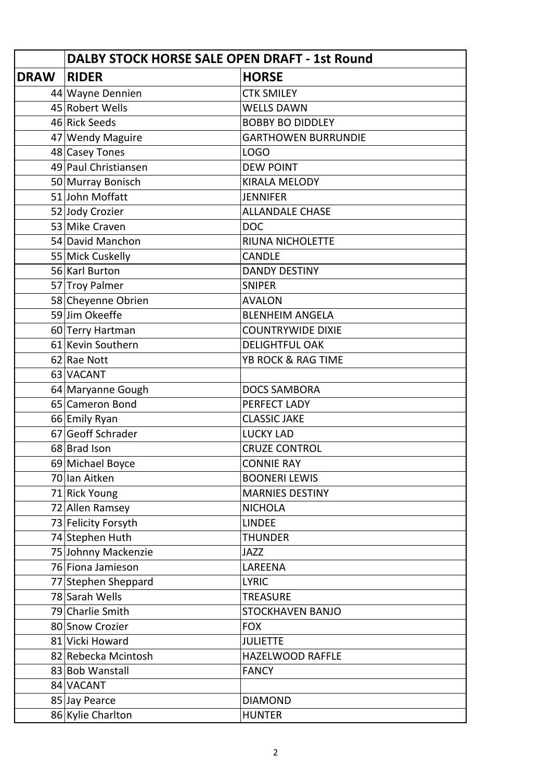|             | <b>DALBY STOCK HORSE SALE OPEN DRAFT - 1st Round</b> |                            |
|-------------|------------------------------------------------------|----------------------------|
| <b>DRAW</b> | <b>RIDER</b>                                         | <b>HORSE</b>               |
|             | 44 Wayne Dennien                                     | <b>CTK SMILEY</b>          |
|             | 45 Robert Wells                                      | <b>WELLS DAWN</b>          |
|             | 46 Rick Seeds                                        | <b>BOBBY BO DIDDLEY</b>    |
|             | 47 Wendy Maguire                                     | <b>GARTHOWEN BURRUNDIE</b> |
|             | 48 Casey Tones                                       | <b>LOGO</b>                |
|             | 49 Paul Christiansen                                 | <b>DEW POINT</b>           |
|             | 50 Murray Bonisch                                    | <b>KIRALA MELODY</b>       |
|             | 51 John Moffatt                                      | <b>JENNIFER</b>            |
|             | 52 Jody Crozier                                      | <b>ALLANDALE CHASE</b>     |
|             | 53 Mike Craven                                       | <b>DOC</b>                 |
|             | 54 David Manchon                                     | RIUNA NICHOLETTE           |
|             | 55 Mick Cuskelly                                     | <b>CANDLE</b>              |
|             | 56 Karl Burton                                       | <b>DANDY DESTINY</b>       |
|             | 57 Troy Palmer                                       | <b>SNIPER</b>              |
|             | 58 Cheyenne Obrien                                   | <b>AVALON</b>              |
|             | 59 Jim Okeeffe                                       | <b>BLENHEIM ANGELA</b>     |
|             | 60 Terry Hartman                                     | <b>COUNTRYWIDE DIXIE</b>   |
|             | 61 Kevin Southern                                    | <b>DELIGHTFUL OAK</b>      |
|             | 62 Rae Nott                                          | YB ROCK & RAG TIME         |
|             | 63 VACANT                                            |                            |
|             | 64 Maryanne Gough                                    | <b>DOCS SAMBORA</b>        |
|             | 65 Cameron Bond                                      | PERFECT LADY               |
|             | 66 Emily Ryan                                        | <b>CLASSIC JAKE</b>        |
|             | 67 Geoff Schrader                                    | <b>LUCKY LAD</b>           |
|             | 68 Brad Ison                                         | <b>CRUZE CONTROL</b>       |
|             | 69 Michael Boyce                                     | <b>CONNIE RAY</b>          |
|             | 70 Ian Aitken                                        | <b>BOONERI LEWIS</b>       |
|             | 71 Rick Young                                        | <b>MARNIES DESTINY</b>     |
|             | 72 Allen Ramsey                                      | <b>NICHOLA</b>             |
|             | 73 Felicity Forsyth                                  | <b>LINDEE</b>              |
|             | 74 Stephen Huth                                      | <b>THUNDER</b>             |
|             | 75 Johnny Mackenzie                                  | <b>JAZZ</b>                |
|             | 76 Fiona Jamieson                                    | LAREENA                    |
|             | 77 Stephen Sheppard                                  | <b>LYRIC</b>               |
|             | 78 Sarah Wells                                       | <b>TREASURE</b>            |
|             | 79 Charlie Smith                                     | <b>STOCKHAVEN BANJO</b>    |
|             | 80 Snow Crozier                                      | <b>FOX</b>                 |
|             | 81 Vicki Howard                                      | <b>JULIETTE</b>            |
|             | 82 Rebecka Mcintosh                                  | HAZELWOOD RAFFLE           |
|             | 83 Bob Wanstall                                      | <b>FANCY</b>               |
|             | 84 VACANT                                            |                            |
|             | 85 Jay Pearce                                        | <b>DIAMOND</b>             |
|             | 86 Kylie Charlton                                    | <b>HUNTER</b>              |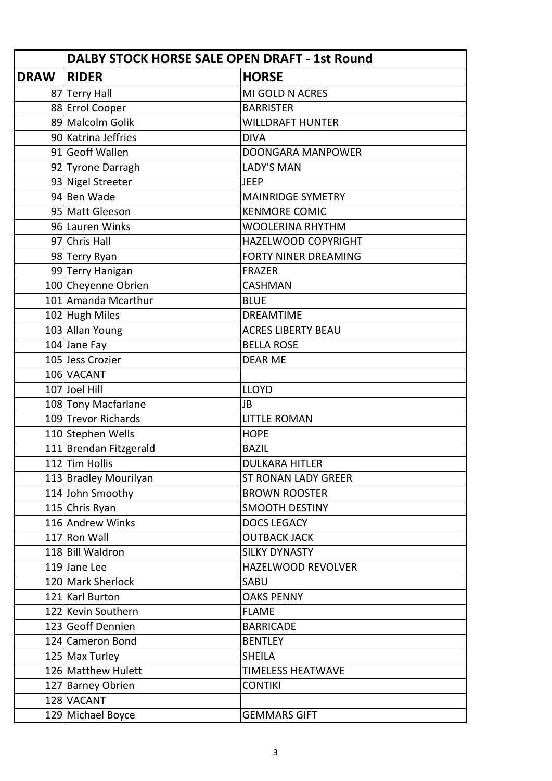|             | DALBY STOCK HORSE SALE OPEN DRAFT - 1st Round |                             |
|-------------|-----------------------------------------------|-----------------------------|
| <b>DRAW</b> | <b>RIDER</b>                                  | <b>HORSE</b>                |
|             | 87 Terry Hall                                 | MI GOLD N ACRES             |
|             | 88 Errol Cooper                               | <b>BARRISTER</b>            |
|             | 89 Malcolm Golik                              | <b>WILLDRAFT HUNTER</b>     |
|             | 90 Katrina Jeffries                           | <b>DIVA</b>                 |
|             | 91 Geoff Wallen                               | <b>DOONGARA MANPOWER</b>    |
|             | 92 Tyrone Darragh                             | <b>LADY'S MAN</b>           |
|             | 93 Nigel Streeter                             | <b>JEEP</b>                 |
|             | 94 Ben Wade                                   | <b>MAINRIDGE SYMETRY</b>    |
|             | 95 Matt Gleeson                               | <b>KENMORE COMIC</b>        |
|             | 96 Lauren Winks                               | <b>WOOLERINA RHYTHM</b>     |
|             | 97 Chris Hall                                 | <b>HAZELWOOD COPYRIGHT</b>  |
|             | 98 Terry Ryan                                 | <b>FORTY NINER DREAMING</b> |
|             | 99 Terry Hanigan                              | <b>FRAZER</b>               |
|             | 100 Cheyenne Obrien                           | <b>CASHMAN</b>              |
|             | 101 Amanda Mcarthur                           | <b>BLUE</b>                 |
|             | 102 Hugh Miles                                | <b>DREAMTIME</b>            |
|             | 103 Allan Young                               | <b>ACRES LIBERTY BEAU</b>   |
|             | $104$ Jane Fay                                | <b>BELLA ROSE</b>           |
|             | 105 Jess Crozier                              | <b>DEAR ME</b>              |
|             | 106 VACANT                                    |                             |
|             | 107 Joel Hill                                 | <b>LLOYD</b>                |
|             | 108 Tony Macfarlane                           | <b>JB</b>                   |
|             | 109 Trevor Richards                           | <b>LITTLE ROMAN</b>         |
|             | 110 Stephen Wells                             | <b>HOPE</b>                 |
|             | 111 Brendan Fitzgerald                        | <b>BAZIL</b>                |
|             | 112 Tim Hollis                                | <b>DULKARA HITLER</b>       |
|             | 113 Bradley Mourilyan                         | <b>ST RONAN LADY GREER</b>  |
|             | 114 John Smoothy                              | <b>BROWN ROOSTER</b>        |
|             | 115 Chris Ryan                                | <b>SMOOTH DESTINY</b>       |
|             | 116 Andrew Winks                              | <b>DOCS LEGACY</b>          |
|             | 117 Ron Wall                                  | <b>OUTBACK JACK</b>         |
|             | 118 Bill Waldron                              | <b>SILKY DYNASTY</b>        |
|             | 119 Jane Lee                                  | HAZELWOOD REVOLVER          |
|             | 120 Mark Sherlock                             | SABU                        |
|             | 121 Karl Burton                               | <b>OAKS PENNY</b>           |
|             | 122 Kevin Southern                            | <b>FLAME</b>                |
|             | 123 Geoff Dennien                             | <b>BARRICADE</b>            |
|             | 124 Cameron Bond                              | <b>BENTLEY</b>              |
|             | 125 Max Turley                                | <b>SHEILA</b>               |
|             | 126 Matthew Hulett                            | <b>TIMELESS HEATWAVE</b>    |
|             | 127 Barney Obrien                             | <b>CONTIKI</b>              |
|             | 128 VACANT                                    |                             |
|             | 129 Michael Boyce                             | <b>GEMMARS GIFT</b>         |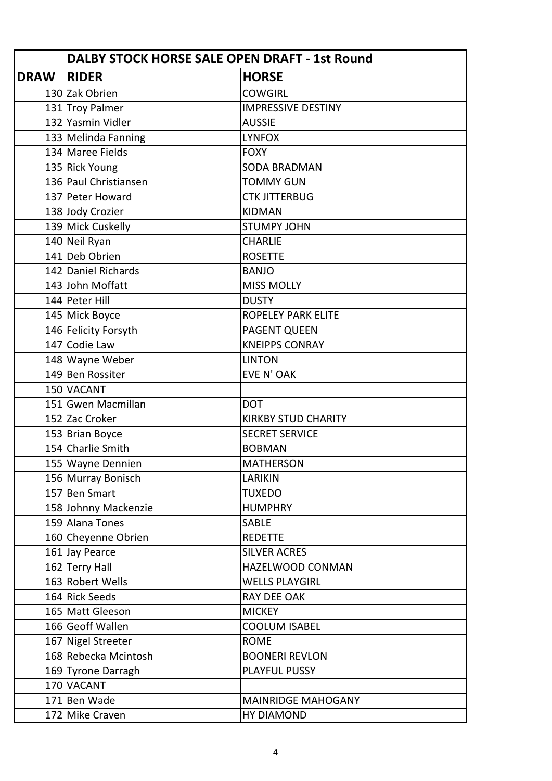|             | <b>DALBY STOCK HORSE SALE OPEN DRAFT - 1st Round</b> |                            |
|-------------|------------------------------------------------------|----------------------------|
| <b>DRAW</b> | <b>RIDER</b>                                         | <b>HORSE</b>               |
|             | 130 Zak Obrien                                       | <b>COWGIRL</b>             |
|             | 131 Troy Palmer                                      | <b>IMPRESSIVE DESTINY</b>  |
|             | 132 Yasmin Vidler                                    | <b>AUSSIE</b>              |
|             | 133 Melinda Fanning                                  | <b>LYNFOX</b>              |
|             | 134 Maree Fields                                     | <b>FOXY</b>                |
|             | 135 Rick Young                                       | <b>SODA BRADMAN</b>        |
|             | 136 Paul Christiansen                                | <b>TOMMY GUN</b>           |
|             | 137 Peter Howard                                     | <b>CTK JITTERBUG</b>       |
|             | 138 Jody Crozier                                     | <b>KIDMAN</b>              |
|             | 139 Mick Cuskelly                                    | <b>STUMPY JOHN</b>         |
|             | 140 Neil Ryan                                        | <b>CHARLIE</b>             |
|             | 141 Deb Obrien                                       | <b>ROSETTE</b>             |
|             | 142 Daniel Richards                                  | <b>BANJO</b>               |
|             | 143 John Moffatt                                     | <b>MISS MOLLY</b>          |
|             | 144 Peter Hill                                       | <b>DUSTY</b>               |
|             | 145 Mick Boyce                                       | <b>ROPELEY PARK ELITE</b>  |
|             | 146 Felicity Forsyth                                 | <b>PAGENT QUEEN</b>        |
|             | 147 Codie Law                                        | <b>KNEIPPS CONRAY</b>      |
|             | 148 Wayne Weber                                      | <b>LINTON</b>              |
|             | 149 Ben Rossiter                                     | EVE N' OAK                 |
|             | 150 VACANT                                           |                            |
|             | 151 Gwen Macmillan                                   | <b>DOT</b>                 |
|             | 152 Zac Croker                                       | <b>KIRKBY STUD CHARITY</b> |
|             | 153 Brian Boyce                                      | <b>SECRET SERVICE</b>      |
|             | 154 Charlie Smith                                    | <b>BOBMAN</b>              |
|             | 155 Wayne Dennien                                    | <b>MATHERSON</b>           |
|             | 156 Murray Bonisch                                   | <b>LARIKIN</b>             |
|             | 157 Ben Smart                                        | <b>TUXEDO</b>              |
|             | 158 Johnny Mackenzie                                 | <b>HUMPHRY</b>             |
|             | 159 Alana Tones                                      | <b>SABLE</b>               |
|             | 160 Cheyenne Obrien                                  | <b>REDETTE</b>             |
|             | 161 Jay Pearce                                       | <b>SILVER ACRES</b>        |
|             | 162 Terry Hall                                       | HAZELWOOD CONMAN           |
|             | 163 Robert Wells                                     | <b>WELLS PLAYGIRL</b>      |
|             | 164 Rick Seeds                                       | RAY DEE OAK                |
|             | 165 Matt Gleeson                                     | <b>MICKEY</b>              |
|             | 166 Geoff Wallen                                     | <b>COOLUM ISABEL</b>       |
|             | 167 Nigel Streeter                                   | <b>ROME</b>                |
|             | 168 Rebecka Mcintosh                                 | <b>BOONERI REVLON</b>      |
|             | 169 Tyrone Darragh                                   | <b>PLAYFUL PUSSY</b>       |
|             | 170 VACANT                                           |                            |
|             | 171 Ben Wade                                         | <b>MAINRIDGE MAHOGANY</b>  |
|             | 172 Mike Craven                                      | <b>HY DIAMOND</b>          |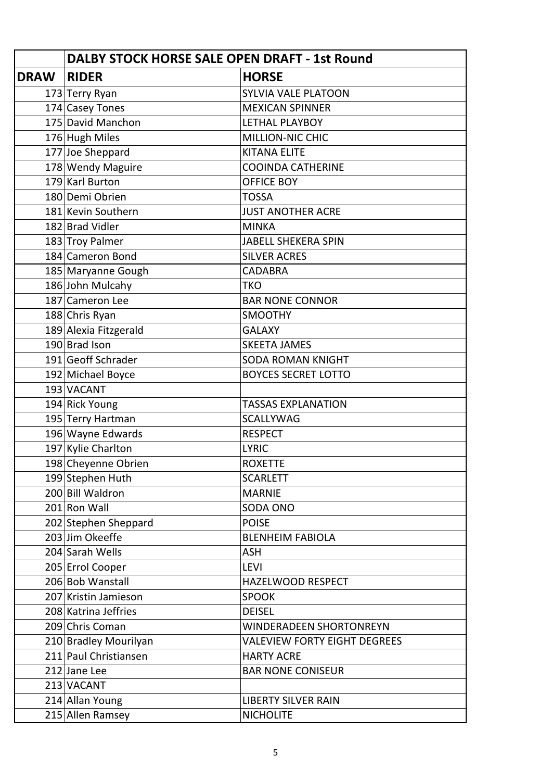|             | DALBY STOCK HORSE SALE OPEN DRAFT - 1st Round |                                     |
|-------------|-----------------------------------------------|-------------------------------------|
| <b>DRAW</b> | <b>RIDER</b>                                  | <b>HORSE</b>                        |
|             | 173 Terry Ryan                                | <b>SYLVIA VALE PLATOON</b>          |
|             | 174 Casey Tones                               | <b>MEXICAN SPINNER</b>              |
|             | 175 David Manchon                             | <b>LETHAL PLAYBOY</b>               |
|             | 176 Hugh Miles                                | <b>MILLION-NIC CHIC</b>             |
|             | 177 Joe Sheppard                              | <b>KITANA ELITE</b>                 |
|             | 178 Wendy Maguire                             | <b>COOINDA CATHERINE</b>            |
|             | 179 Karl Burton                               | <b>OFFICE BOY</b>                   |
|             | 180 Demi Obrien                               | <b>TOSSA</b>                        |
|             | 181 Kevin Southern                            | <b>JUST ANOTHER ACRE</b>            |
|             | 182 Brad Vidler                               | <b>MINKA</b>                        |
|             | 183 Troy Palmer                               | <b>JABELL SHEKERA SPIN</b>          |
|             | 184 Cameron Bond                              | <b>SILVER ACRES</b>                 |
|             | 185 Maryanne Gough                            | <b>CADABRA</b>                      |
|             | 186 John Mulcahy                              | <b>TKO</b>                          |
|             | 187 Cameron Lee                               | <b>BAR NONE CONNOR</b>              |
|             | 188 Chris Ryan                                | <b>SMOOTHY</b>                      |
|             | 189 Alexia Fitzgerald                         | <b>GALAXY</b>                       |
|             | 190 Brad Ison                                 | <b>SKEETA JAMES</b>                 |
|             | 191 Geoff Schrader                            | <b>SODA ROMAN KNIGHT</b>            |
|             | 192 Michael Boyce                             | <b>BOYCES SECRET LOTTO</b>          |
|             | 193 VACANT                                    |                                     |
|             | 194 Rick Young                                | <b>TASSAS EXPLANATION</b>           |
|             | 195 Terry Hartman                             | <b>SCALLYWAG</b>                    |
|             | 196 Wayne Edwards                             | <b>RESPECT</b>                      |
|             | 197 Kylie Charlton                            | <b>LYRIC</b>                        |
|             | 198 Cheyenne Obrien                           | <b>ROXETTE</b>                      |
|             | 199 Stephen Huth                              | <b>SCARLETT</b>                     |
|             | 200 Bill Waldron                              | <b>MARNIE</b>                       |
|             | 201 Ron Wall                                  | SODA ONO                            |
|             | 202 Stephen Sheppard                          | <b>POISE</b>                        |
|             | 203 Jim Okeeffe                               | <b>BLENHEIM FABIOLA</b>             |
|             | 204 Sarah Wells                               | <b>ASH</b>                          |
|             | 205 Errol Cooper                              | <b>LEVI</b>                         |
|             | 206 Bob Wanstall                              | HAZELWOOD RESPECT                   |
|             | 207 Kristin Jamieson                          | <b>SPOOK</b>                        |
|             | 208 Katrina Jeffries                          | <b>DEISEL</b>                       |
|             | 209 Chris Coman                               | <b>WINDERADEEN SHORTONREYN</b>      |
|             | 210 Bradley Mourilyan                         | <b>VALEVIEW FORTY EIGHT DEGREES</b> |
|             | 211 Paul Christiansen                         | <b>HARTY ACRE</b>                   |
|             | 212 Jane Lee                                  | <b>BAR NONE CONISEUR</b>            |
|             | 213 VACANT                                    |                                     |
|             | 214 Allan Young                               | <b>LIBERTY SILVER RAIN</b>          |
|             | 215 Allen Ramsey                              | <b>NICHOLITE</b>                    |